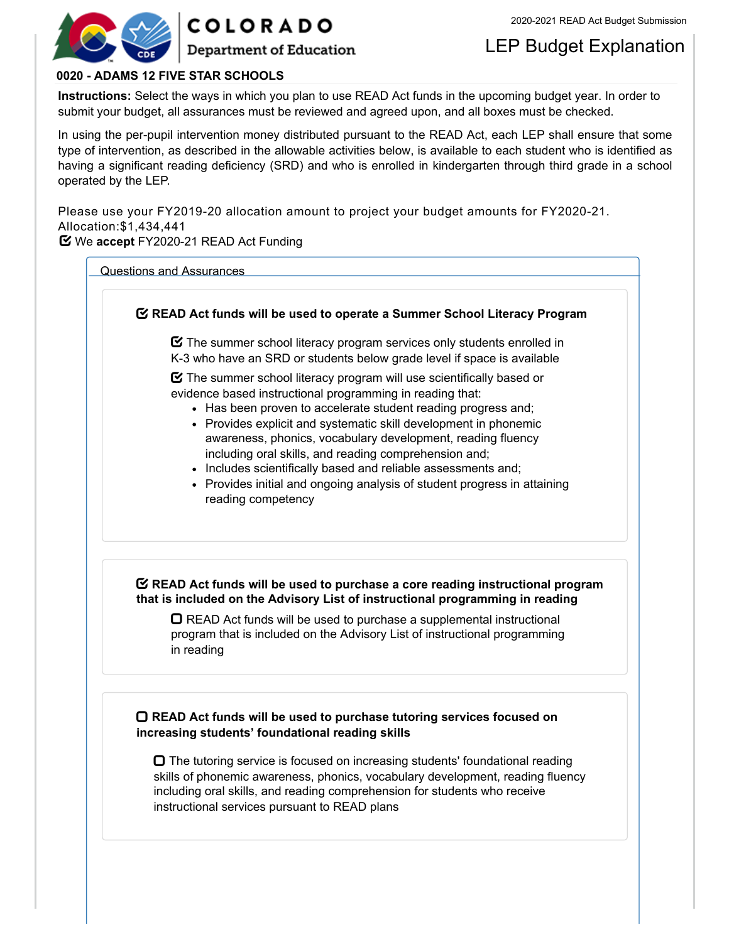



LEP Budget Explanation

## **0020 - ADAMS 12 FIVE STAR SCHOOLS**

**Instructions:** Select the ways in which you plan to use READ Act funds in the upcoming budget year. In order to submit your budget, all assurances must be reviewed and agreed upon, and all boxes must be checked.

In using the per-pupil intervention money distributed pursuant to the READ Act, each LEP shall ensure that some type of intervention, as described in the allowable activities below, is available to each student who is identified as having a significant reading deficiency (SRD) and who is enrolled in kindergarten through third grade in a school operated by the LEP.

Please use your FY2019-20 allocation amount to project your budget amounts for FY2020-21. Allocation:\$1,434,441

**Y** We accept FY2020-21 READ Act Funding

Questions and Assurances

# **READ Act funds will be used to operate a Summer School Literacy Program**  $\boldsymbol{\Xi}$  The summer school literacy program services only students enrolled in K-3 who have an SRD or students below grade level if space is available  $\boldsymbol{\Xi}$  The summer school literacy program will use scientifically based or evidence based instructional programming in reading that: • Has been proven to accelerate student reading progress and; Provides explicit and systematic skill development in phonemic awareness, phonics, vocabulary development, reading fluency including oral skills, and reading comprehension and; • Includes scientifically based and reliable assessments and; Provides initial and ongoing analysis of student progress in attaining reading competency **READ Act funds will be used to purchase a core reading instructional program that is included on the Advisory List of instructional programming in reading**  $\Box$  READ Act funds will be used to purchase a supplemental instructional program that is included on the Advisory List of instructional programming in reading **READ Act funds will be used to purchase tutoring services focused on**

**increasing students' foundational reading skills**  $\Box$  The tutoring service is focused on increasing students' foundational reading

skills of phonemic awareness, phonics, vocabulary development, reading fluency including oral skills, and reading comprehension for students who receive instructional services pursuant to READ plans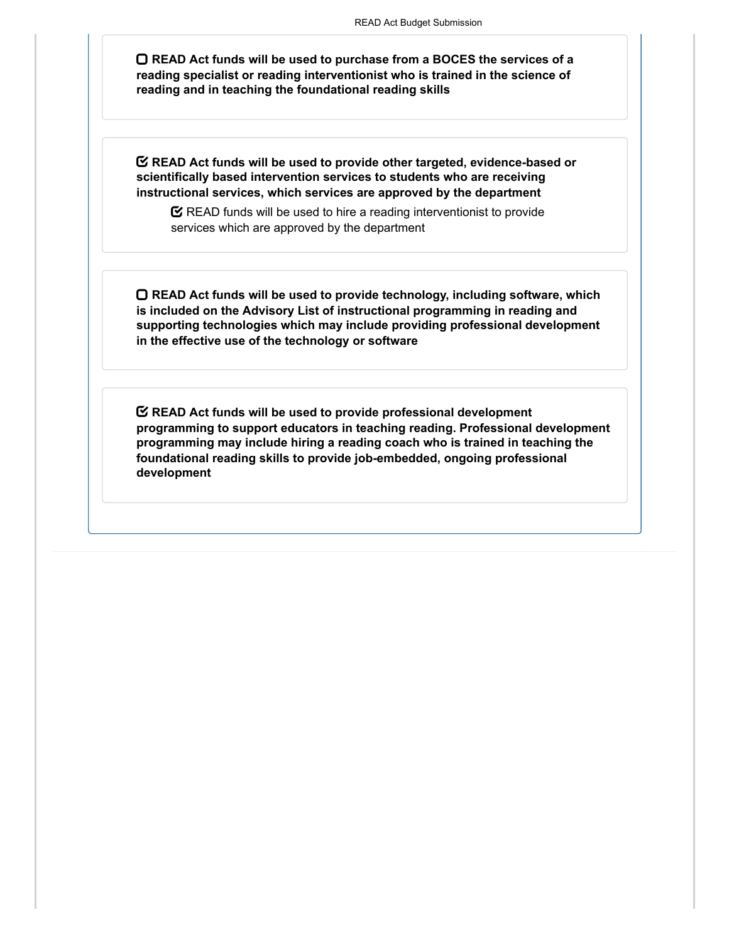**READ Act funds will be used to purchase from a BOCES the services of a reading specialist or reading interventionist who is trained in the science of reading and in teaching the foundational reading skills**

**READ Act funds will be used to provide other targeted, evidence-based or scientifically based intervention services to students who are receiving instructional services, which services are approved by the department**

 $\mathbf S$  READ funds will be used to hire a reading interventionist to provide services which are approved by the department

**READ Act funds will be used to provide technology, including software, which is included on the Advisory List of instructional programming in reading and supporting technologies which may include providing professional development in the effective use of the technology or software**

**READ Act funds will be used to provide professional development programming to support educators in teaching reading. Professional development programming may include hiring a reading coach who is trained in teaching the foundational reading skills to provide job-embedded, ongoing professional development**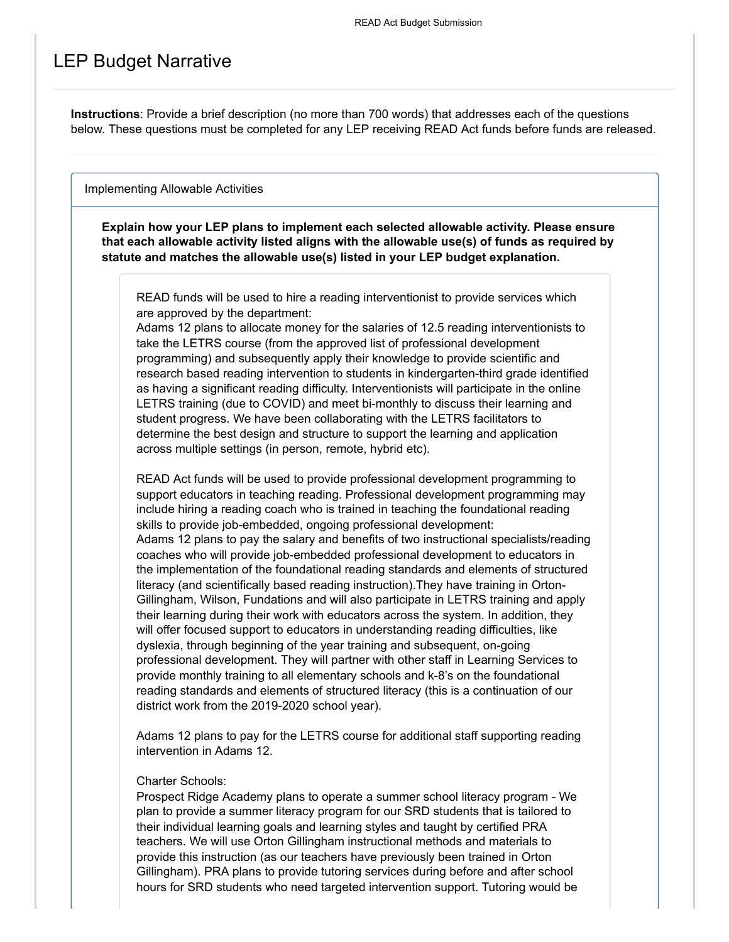# LEP Budget Narrative

**Instructions**: Provide a brief description (no more than 700 words) that addresses each of the questions below. These questions must be completed for any LEP receiving READ Act funds before funds are released.

Implementing Allowable Activities

**Explain how your LEP plans to implement each selected allowable activity. Please ensure that each allowable activity listed aligns with the allowable use(s) of funds as required by statute and matches the allowable use(s) listed in your LEP budget explanation.**

READ funds will be used to hire a reading interventionist to provide services which are approved by the department:

Adams 12 plans to allocate money for the salaries of 12.5 reading interventionists to take the LETRS course (from the approved list of professional development programming) and subsequently apply their knowledge to provide scientific and research based reading intervention to students in kindergarten-third grade identified as having a significant reading difficulty. Interventionists will participate in the online LETRS training (due to COVID) and meet bi-monthly to discuss their learning and student progress. We have been collaborating with the LETRS facilitators to determine the best design and structure to support the learning and application across multiple settings (in person, remote, hybrid etc).

READ Act funds will be used to provide professional development programming to support educators in teaching reading. Professional development programming may include hiring a reading coach who is trained in teaching the foundational reading skills to provide job-embedded, ongoing professional development: Adams 12 plans to pay the salary and benefits of two instructional specialists/reading coaches who will provide job-embedded professional development to educators in the implementation of the foundational reading standards and elements of structured literacy (and scientifically based reading instruction).They have training in Orton-Gillingham, Wilson, Fundations and will also participate in LETRS training and apply their learning during their work with educators across the system. In addition, they will offer focused support to educators in understanding reading difficulties, like dyslexia, through beginning of the year training and subsequent, on-going professional development. They will partner with other staff in Learning Services to provide monthly training to all elementary schools and k-8's on the foundational reading standards and elements of structured literacy (this is a continuation of our district work from the 2019-2020 school year).

Adams 12 plans to pay for the LETRS course for additional staff supporting reading intervention in Adams 12.

### Charter Schools:

Prospect Ridge Academy plans to operate a summer school literacy program - We plan to provide a summer literacy program for our SRD students that is tailored to their individual learning goals and learning styles and taught by certified PRA teachers. We will use Orton Gillingham instructional methods and materials to provide this instruction (as our teachers have previously been trained in Orton Gillingham). PRA plans to provide tutoring services during before and after school hours for SRD students who need targeted intervention support. Tutoring would be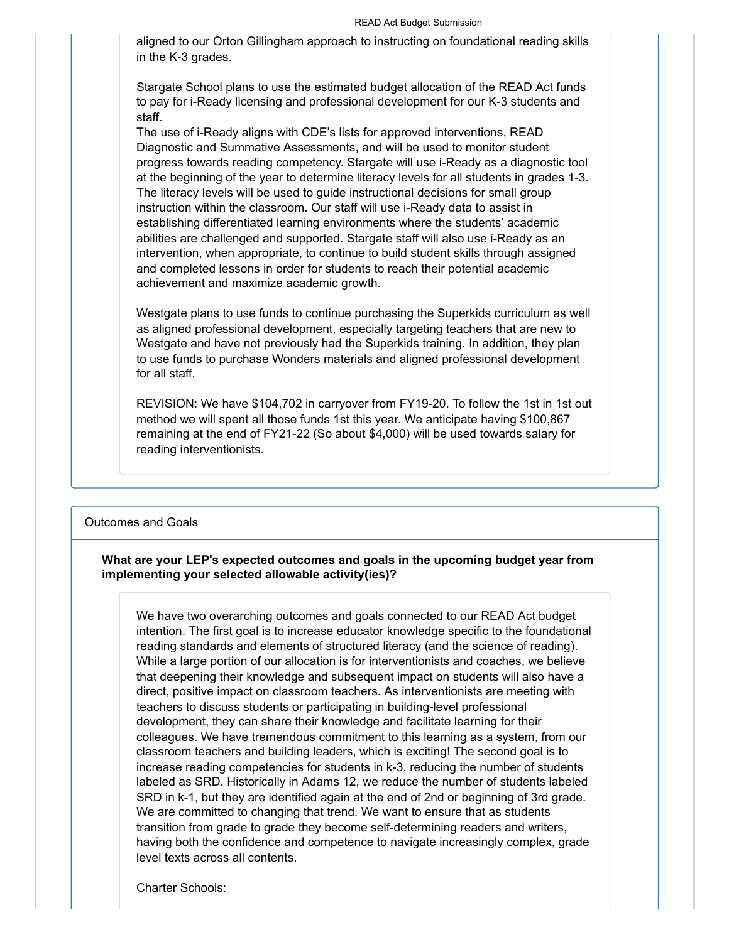aligned to our Orton Gillingham approach to instructing on foundational reading skills in the K-3 grades.

Stargate School plans to use the estimated budget allocation of the READ Act funds to pay for i-Ready licensing and professional development for our K-3 students and staff.

The use of i-Ready aligns with CDE's lists for approved interventions, READ Diagnostic and Summative Assessments, and will be used to monitor student progress towards reading competency. Stargate will use i-Ready as a diagnostic tool at the beginning of the year to determine literacy levels for all students in grades 1-3. The literacy levels will be used to guide instructional decisions for small group instruction within the classroom. Our staff will use i-Ready data to assist in establishing differentiated learning environments where the students' academic abilities are challenged and supported. Stargate staff will also use i-Ready as an intervention, when appropriate, to continue to build student skills through assigned and completed lessons in order for students to reach their potential academic achievement and maximize academic growth.

Westgate plans to use funds to continue purchasing the Superkids curriculum as well as aligned professional development, especially targeting teachers that are new to Westgate and have not previously had the Superkids training. In addition, they plan to use funds to purchase Wonders materials and aligned professional development for all staff.

REVISION: We have \$104,702 in carryover from FY19-20. To follow the 1st in 1st out method we will spent all those funds 1st this year. We anticipate having \$100,867 remaining at the end of FY21-22 (So about \$4,000) will be used towards salary for reading interventionists.

#### Outcomes and Goals

### **What are your LEP's expected outcomes and goals in the upcoming budget year from implementing your selected allowable activity(ies)?**

We have two overarching outcomes and goals connected to our READ Act budget intention. The first goal is to increase educator knowledge specific to the foundational reading standards and elements of structured literacy (and the science of reading). While a large portion of our allocation is for interventionists and coaches, we believe that deepening their knowledge and subsequent impact on students will also have a direct, positive impact on classroom teachers. As interventionists are meeting with teachers to discuss students or participating in building-level professional development, they can share their knowledge and facilitate learning for their colleagues. We have tremendous commitment to this learning as a system, from our classroom teachers and building leaders, which is exciting! The second goal is to increase reading competencies for students in k-3, reducing the number of students labeled as SRD. Historically in Adams 12, we reduce the number of students labeled SRD in k-1, but they are identified again at the end of 2nd or beginning of 3rd grade. We are committed to changing that trend. We want to ensure that as students transition from grade to grade they become self-determining readers and writers, having both the confidence and competence to navigate increasingly complex, grade level texts across all contents.

Charter Schools: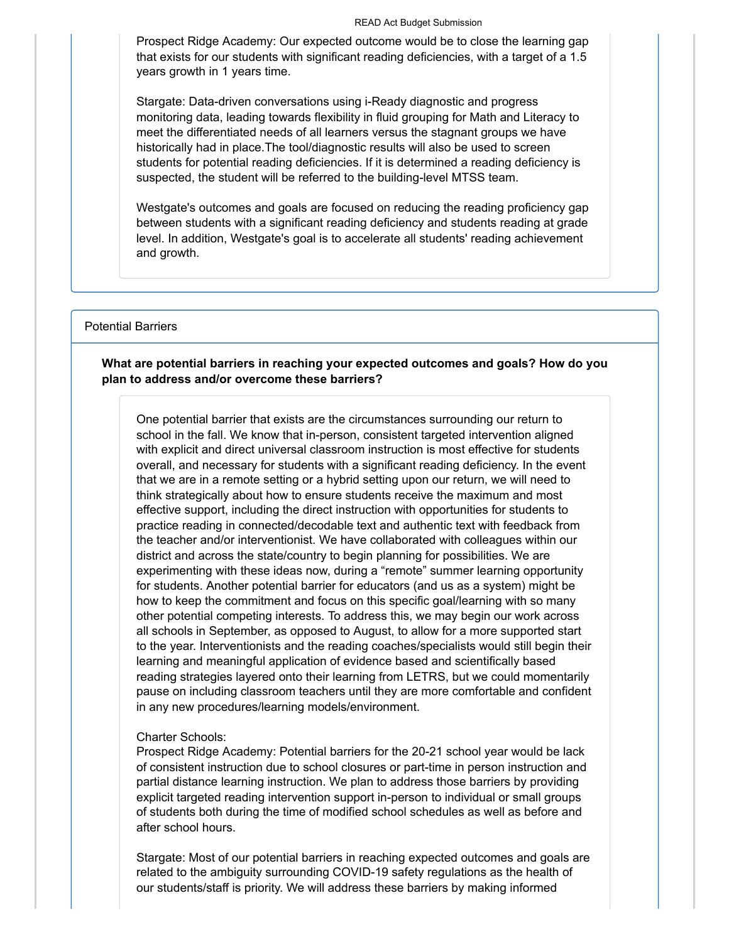#### READ Act Budget Submission

Prospect Ridge Academy: Our expected outcome would be to close the learning gap that exists for our students with significant reading deficiencies, with a target of a 1.5 years growth in 1 years time.

Stargate: Data-driven conversations using i-Ready diagnostic and progress monitoring data, leading towards flexibility in fluid grouping for Math and Literacy to meet the differentiated needs of all learners versus the stagnant groups we have historically had in place.The tool/diagnostic results will also be used to screen students for potential reading deficiencies. If it is determined a reading deficiency is suspected, the student will be referred to the building-level MTSS team.

Westgate's outcomes and goals are focused on reducing the reading proficiency gap between students with a significant reading deficiency and students reading at grade level. In addition, Westgate's goal is to accelerate all students' reading achievement and growth.

### Potential Barriers

## **What are potential barriers in reaching your expected outcomes and goals? How do you plan to address and/or overcome these barriers?**

One potential barrier that exists are the circumstances surrounding our return to school in the fall. We know that in-person, consistent targeted intervention aligned with explicit and direct universal classroom instruction is most effective for students overall, and necessary for students with a significant reading deficiency. In the event that we are in a remote setting or a hybrid setting upon our return, we will need to think strategically about how to ensure students receive the maximum and most effective support, including the direct instruction with opportunities for students to practice reading in connected/decodable text and authentic text with feedback from the teacher and/or interventionist. We have collaborated with colleagues within our district and across the state/country to begin planning for possibilities. We are experimenting with these ideas now, during a "remote" summer learning opportunity for students. Another potential barrier for educators (and us as a system) might be how to keep the commitment and focus on this specific goal/learning with so many other potential competing interests. To address this, we may begin our work across all schools in September, as opposed to August, to allow for a more supported start to the year. Interventionists and the reading coaches/specialists would still begin their learning and meaningful application of evidence based and scientifically based reading strategies layered onto their learning from LETRS, but we could momentarily pause on including classroom teachers until they are more comfortable and confident in any new procedures/learning models/environment.

#### Charter Schools:

Prospect Ridge Academy: Potential barriers for the 20-21 school year would be lack of consistent instruction due to school closures or part-time in person instruction and partial distance learning instruction. We plan to address those barriers by providing explicit targeted reading intervention support in-person to individual or small groups of students both during the time of modified school schedules as well as before and after school hours.

Stargate: Most of our potential barriers in reaching expected outcomes and goals are related to the ambiguity surrounding COVID-19 safety regulations as the health of our students/staff is priority. We will address these barriers by making informed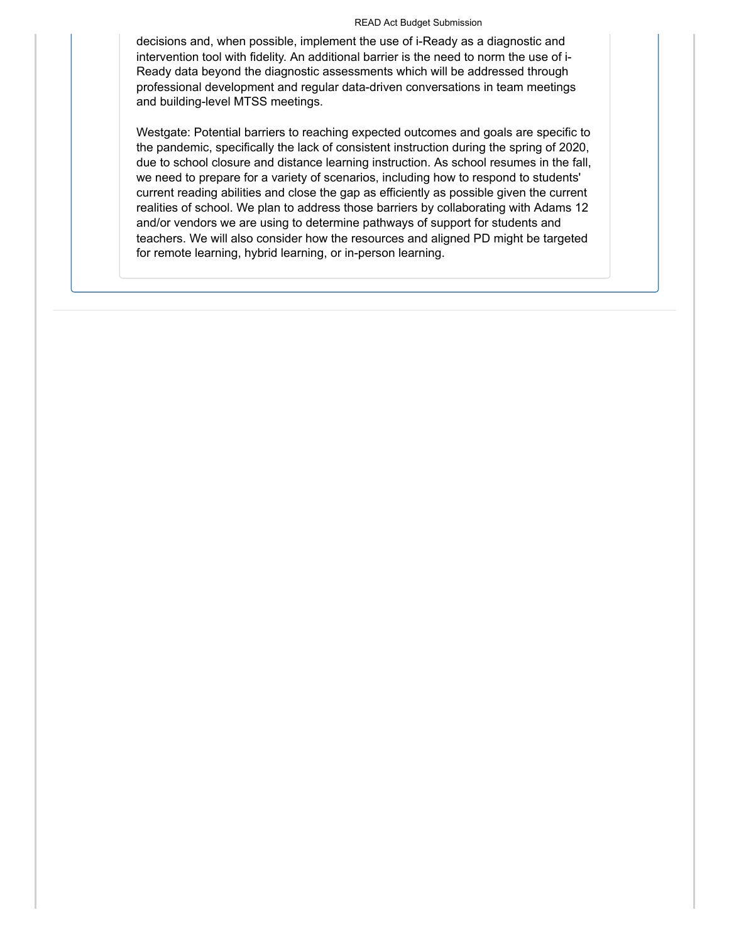#### READ Act Budget Submission

decisions and, when possible, implement the use of i-Ready as a diagnostic and intervention tool with fidelity. An additional barrier is the need to norm the use of i-Ready data beyond the diagnostic assessments which will be addressed through professional development and regular data-driven conversations in team meetings and building-level MTSS meetings.

Westgate: Potential barriers to reaching expected outcomes and goals are specific to the pandemic, specifically the lack of consistent instruction during the spring of 2020, due to school closure and distance learning instruction. As school resumes in the fall, we need to prepare for a variety of scenarios, including how to respond to students' current reading abilities and close the gap as efficiently as possible given the current realities of school. We plan to address those barriers by collaborating with Adams 12 and/or vendors we are using to determine pathways of support for students and teachers. We will also consider how the resources and aligned PD might be targeted for remote learning, hybrid learning, or in-person learning.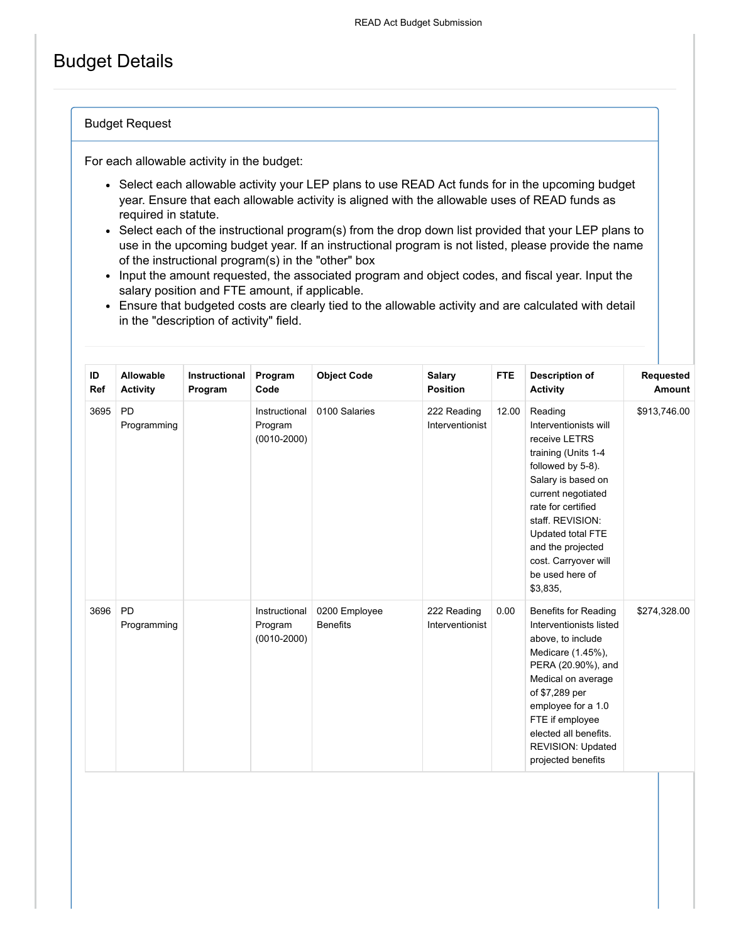# Budget Details

## Budget Request

For each allowable activity in the budget:

- Select each allowable activity your LEP plans to use READ Act funds for in the upcoming budget year. Ensure that each allowable activity is aligned with the allowable uses of READ funds as required in statute.
- Select each of the instructional program(s) from the drop down list provided that your LEP plans to use in the upcoming budget year. If an instructional program is not listed, please provide the name of the instructional program(s) in the "other" box
- Input the amount requested, the associated program and object codes, and fiscal year. Input the salary position and FTE amount, if applicable.
- Ensure that budgeted costs are clearly tied to the allowable activity and are calculated with detail in the "description of activity" field.

| ID<br><b>Ref</b> | Allowable<br><b>Activity</b> | <b>Instructional</b><br>Program | Program<br>Code                             | <b>Object Code</b>               | <b>Salary</b><br><b>Position</b> | <b>FTE</b> | <b>Description of</b><br><b>Activity</b>                                                                                                                                                                                                                                             | Requested<br>Amount |
|------------------|------------------------------|---------------------------------|---------------------------------------------|----------------------------------|----------------------------------|------------|--------------------------------------------------------------------------------------------------------------------------------------------------------------------------------------------------------------------------------------------------------------------------------------|---------------------|
| 3695             | <b>PD</b><br>Programming     |                                 | Instructional<br>Program<br>$(0010 - 2000)$ | 0100 Salaries                    | 222 Reading<br>Interventionist   | 12.00      | Reading<br>Interventionists will<br>receive LETRS<br>training (Units 1-4<br>followed by 5-8).<br>Salary is based on<br>current negotiated<br>rate for certified<br>staff. REVISION:<br>Updated total FTE<br>and the projected<br>cost. Carryover will<br>be used here of<br>\$3,835, | \$913,746.00        |
| 3696             | <b>PD</b><br>Programming     |                                 | Instructional<br>Program<br>$(0010 - 2000)$ | 0200 Employee<br><b>Benefits</b> | 222 Reading<br>Interventionist   | 0.00       | <b>Benefits for Reading</b><br>Interventionists listed<br>above, to include<br>Medicare (1.45%),<br>PERA (20.90%), and<br>Medical on average<br>of \$7,289 per<br>employee for a 1.0<br>FTE if employee<br>elected all benefits.<br><b>REVISION: Updated</b><br>projected benefits   | \$274,328.00        |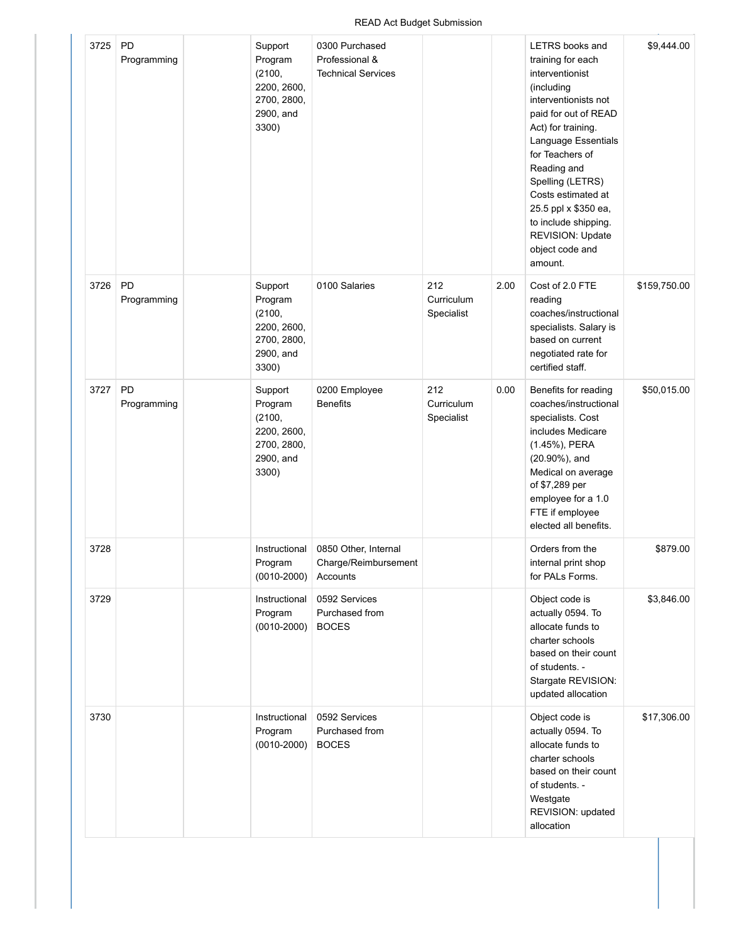## READ Act Budget Submission

| 3725 | PD<br>Programming | Support<br>Program<br>(2100,<br>2200, 2600,<br>2700, 2800,<br>2900, and<br>3300) | 0300 Purchased<br>Professional &<br><b>Technical Services</b> |                                 |      | <b>LETRS</b> books and<br>training for each<br>interventionist<br>(including<br>interventionists not<br>paid for out of READ<br>Act) for training.<br>Language Essentials<br>for Teachers of<br>Reading and<br>Spelling (LETRS)<br>Costs estimated at<br>25.5 ppl x \$350 ea,<br>to include shipping.<br>REVISION: Update<br>object code and<br>amount. | \$9,444.00   |
|------|-------------------|----------------------------------------------------------------------------------|---------------------------------------------------------------|---------------------------------|------|---------------------------------------------------------------------------------------------------------------------------------------------------------------------------------------------------------------------------------------------------------------------------------------------------------------------------------------------------------|--------------|
| 3726 | PD<br>Programming | Support<br>Program<br>(2100,<br>2200, 2600,<br>2700, 2800,<br>2900, and<br>3300) | 0100 Salaries                                                 | 212<br>Curriculum<br>Specialist | 2.00 | Cost of 2.0 FTE<br>reading<br>coaches/instructional<br>specialists. Salary is<br>based on current<br>negotiated rate for<br>certified staff.                                                                                                                                                                                                            | \$159,750.00 |
| 3727 | PD<br>Programming | Support<br>Program<br>(2100,<br>2200, 2600,<br>2700, 2800,<br>2900, and<br>3300) | 0200 Employee<br><b>Benefits</b>                              | 212<br>Curriculum<br>Specialist | 0.00 | Benefits for reading<br>coaches/instructional<br>specialists. Cost<br>includes Medicare<br>(1.45%), PERA<br>$(20.90\%)$ , and<br>Medical on average<br>of \$7,289 per<br>employee for a 1.0<br>FTE if employee<br>elected all benefits.                                                                                                                 | \$50,015.00  |
| 3728 |                   | Instructional<br>Program<br>$(0010 - 2000)$                                      | 0850 Other, Internal<br>Charge/Reimbursement<br>Accounts      |                                 |      | Orders from the<br>internal print shop<br>for PALs Forms.                                                                                                                                                                                                                                                                                               | \$879.00     |
| 3729 |                   | Instructional<br>Program<br>$(0010 - 2000)$                                      | 0592 Services<br>Purchased from<br><b>BOCES</b>               |                                 |      | Object code is<br>actually 0594. To<br>allocate funds to<br>charter schools<br>based on their count<br>of students. -<br>Stargate REVISION:<br>updated allocation                                                                                                                                                                                       | \$3,846.00   |
| 3730 |                   | Instructional<br>Program<br>$(0010 - 2000)$                                      | 0592 Services<br>Purchased from<br><b>BOCES</b>               |                                 |      | Object code is<br>actually 0594. To<br>allocate funds to<br>charter schools<br>based on their count<br>of students. -<br>Westgate<br>REVISION: updated<br>allocation                                                                                                                                                                                    | \$17,306.00  |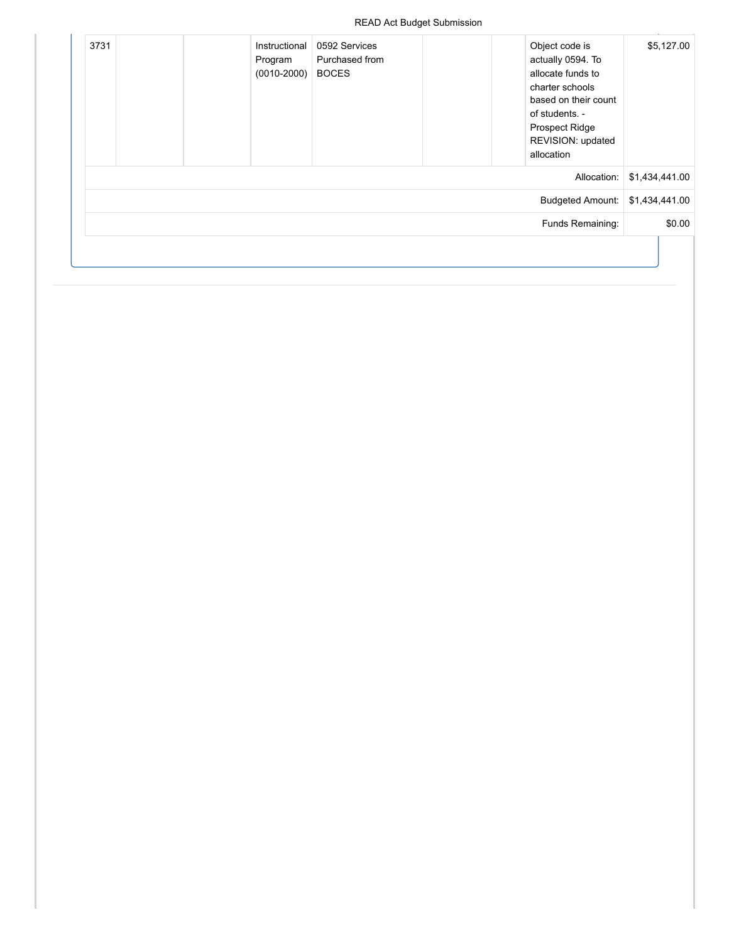| \$5,127.00     | Object code is<br>actually 0594. To<br>allocate funds to<br>charter schools<br>based on their count<br>of students. -<br><b>Prospect Ridge</b><br>REVISION: updated<br>allocation | 0592 Services<br>Purchased from<br><b>BOCES</b> | Instructional<br>Program<br>$(0010 - 2000)$ |  | 3731 |
|----------------|-----------------------------------------------------------------------------------------------------------------------------------------------------------------------------------|-------------------------------------------------|---------------------------------------------|--|------|
| \$1,434,441.00 | Allocation:                                                                                                                                                                       |                                                 |                                             |  |      |
|                | Budgeted Amount: \$1,434,441.00                                                                                                                                                   |                                                 |                                             |  |      |
| \$0.00         | Funds Remaining:                                                                                                                                                                  |                                                 |                                             |  |      |
|                |                                                                                                                                                                                   |                                                 |                                             |  |      |
|                |                                                                                                                                                                                   |                                                 |                                             |  |      |